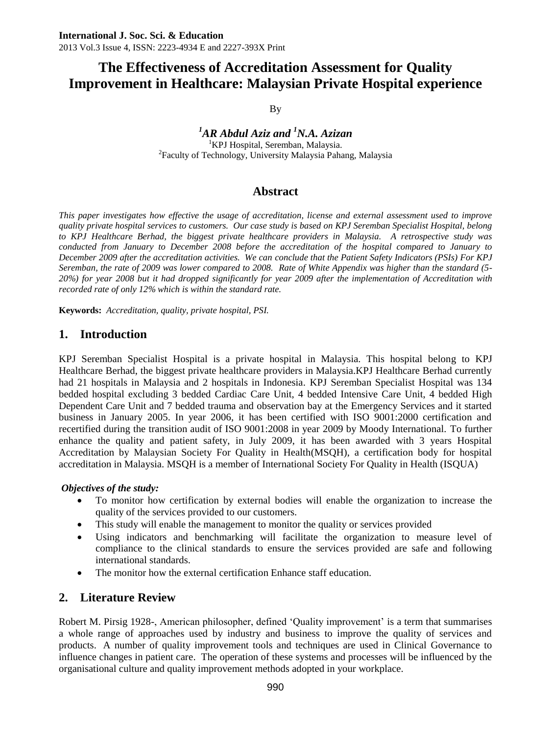By

### *<sup>1</sup>AR Abdul Aziz and <sup>1</sup>N.A. Azizan*  <sup>1</sup>KPJ Hospital, Seremban, Malaysia. <sup>2</sup>Faculty of Technology, University Malaysia Pahang, Malaysia

# **Abstract**

*This paper investigates how effective the usage of accreditation, license and external assessment used to improve quality private hospital services to customers. Our case study is based on KPJ Seremban Specialist Hospital, belong to KPJ Healthcare Berhad, the biggest private healthcare providers in Malaysia. A retrospective study was conducted from January to December 2008 before the accreditation of the hospital compared to January to December 2009 after the accreditation activities. We can conclude that the Patient Safety Indicators (PSIs) For KPJ Seremban, the rate of 2009 was lower compared to 2008. Rate of White Appendix was higher than the standard (5- 20%) for year 2008 but it had dropped significantly for year 2009 after the implementation of Accreditation with recorded rate of only 12% which is within the standard rate.*

**Keywords:** *Accreditation, quality, private hospital, PSI.*

# **1. Introduction**

KPJ Seremban Specialist Hospital is a private hospital in Malaysia. This hospital belong to KPJ Healthcare Berhad, the biggest private healthcare providers in Malaysia.KPJ Healthcare Berhad currently had 21 hospitals in Malaysia and 2 hospitals in Indonesia. KPJ Seremban Specialist Hospital was 134 bedded hospital excluding 3 bedded Cardiac Care Unit, 4 bedded Intensive Care Unit, 4 bedded High Dependent Care Unit and 7 bedded trauma and observation bay at the Emergency Services and it started business in January 2005. In year 2006, it has been certified with ISO 9001:2000 certification and recertified during the transition audit of ISO 9001:2008 in year 2009 by Moody International. To further enhance the quality and patient safety, in July 2009, it has been awarded with 3 years Hospital Accreditation by Malaysian Society For Quality in Health(MSQH), a certification body for hospital accreditation in Malaysia. MSQH is a member of International Society For Quality in Health (ISQUA)

### *Objectives of the study:*

- To monitor how certification by external bodies will enable the organization to increase the quality of the services provided to our customers.
- This study will enable the management to monitor the quality or services provided
- Using indicators and benchmarking will facilitate the organization to measure level of compliance to the clinical standards to ensure the services provided are safe and following international standards.
- The monitor how the external certification Enhance staff education.

# **2. Literature Review**

Robert M. Pirsig 1928-, American philosopher, defined 'Quality improvement' is a term that summarises a whole range of approaches used by industry and business to improve the quality of services and products. A number of quality improvement tools and techniques are used in Clinical Governance to influence changes in patient care. The operation of these systems and processes will be influenced by the organisational culture and quality improvement methods adopted in your workplace.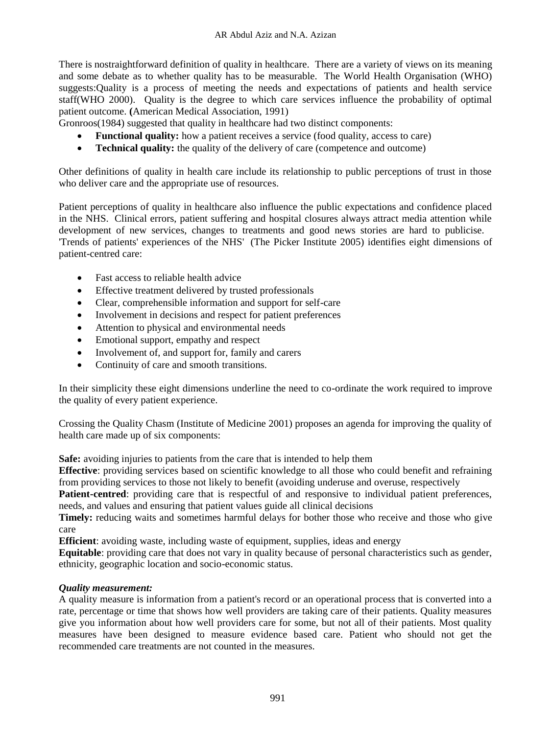There is nostraightforward definition of quality in healthcare. There are a variety of views on its meaning and some debate as to whether quality has to be measurable. The World Health Organisation (WHO) suggests:Quality is a process of meeting the needs and expectations of patients and health service staff(WHO 2000). Quality is the degree to which care services influence the probability of optimal patient outcome. **(**American Medical Association, 1991)

Gronroos(1984) suggested that quality in healthcare had two distinct components:

- **Functional quality:** how a patient receives a service (food quality, access to care)
- **Technical quality:** the quality of the delivery of care (competence and outcome)

Other definitions of quality in health care include its relationship to public perceptions of trust in those who deliver care and the appropriate use of resources.

Patient perceptions of quality in healthcare also influence the public expectations and confidence placed in the NHS. Clinical errors, patient suffering and hospital closures always attract media attention while development of new services, changes to treatments and good news stories are hard to publicise. ['Trends of patients' experiences of the NHS'](http://www.pickereurope.org/Filestore/Downloads/TrendsinPatientExperience.pdf) (The Picker Institute 2005) identifies eight dimensions of patient-centred care:

- Fast access to reliable health advice
- Effective treatment delivered by trusted professionals
- Clear, comprehensible information and support for self-care
- Involvement in decisions and respect for patient preferences
- Attention to physical and environmental needs
- Emotional support, empathy and respect
- Involvement of, and support for, family and carers
- Continuity of care and smooth transitions.

In their simplicity these eight dimensions underline the need to co-ordinate the work required to improve the quality of every patient experience.

Crossing the Quality Chasm (Institute of Medicine 2001) proposes an agenda for improving the quality of health care made up of six components:

**Safe:** avoiding injuries to patients from the care that is intended to help them

**Effective**: providing services based on scientific knowledge to all those who could benefit and refraining from providing services to those not likely to benefit (avoiding underuse and overuse, respectively

**Patient-centred**: providing care that is respectful of and responsive to individual patient preferences, needs, and values and ensuring that patient values guide all clinical decisions

**Timely:** reducing waits and sometimes harmful delays for bother those who receive and those who give care

**Efficient**: avoiding waste, including waste of equipment, supplies, ideas and energy

**Equitable**: providing care that does not vary in quality because of personal characteristics such as gender, ethnicity, geographic location and socio-economic status.

### *Quality measurement:*

A quality measure is information from a patient's record or an operational process that is converted into a rate, percentage or time that shows how well providers are taking care of their patients. Quality measures give you information about how well providers care for some, but not all of their patients. Most quality measures have been designed to measure evidence based care. Patient who should not get the recommended care treatments are not counted in the measures.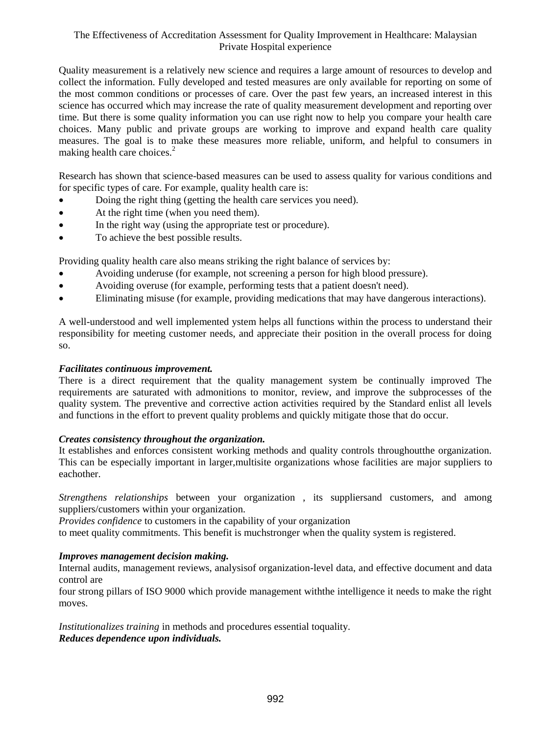Quality measurement is a relatively new science and requires a large amount of resources to develop and collect the information. Fully developed and tested measures are only available for reporting on some of the most common conditions or processes of care. Over the past few years, an increased interest in this science has occurred which may increase the rate of quality measurement development and reporting over time. But there is some quality information you can use right now to help you compare your health care choices. Many public and private groups are working to improve and expand health care quality measures. The goal is to make these measures more reliable, uniform, and helpful to consumers in making health care choices. $<sup>2</sup>$ </sup>

Research has shown that science-based measures can be used to assess quality for various conditions and for specific types of care. For example, quality health care is:

- Doing the right thing (getting the health care services you need).
- At the right time (when you need them).
- In the right way (using the appropriate test or procedure).
- To achieve the best possible results.

Providing quality health care also means striking the right balance of services by:

- Avoiding underuse (for example, not screening a person for high blood pressure).
- Avoiding overuse (for example, performing tests that a patient doesn't need).
- Eliminating misuse (for example, providing medications that may have dangerous interactions).

A well-understood and well implemented ystem helps all functions within the process to understand their responsibility for meeting customer needs, and appreciate their position in the overall process for doing so.

#### *Facilitates continuous improvement.*

There is a direct requirement that the quality management system be continually improved The requirements are saturated with admonitions to monitor, review, and improve the subprocesses of the quality system. The preventive and corrective action activities required by the Standard enlist all levels and functions in the effort to prevent quality problems and quickly mitigate those that do occur.

#### *Creates consistency throughout the organization.*

It establishes and enforces consistent working methods and quality controls throughoutthe organization. This can be especially important in larger,multisite organizations whose facilities are major suppliers to eachother.

*Strengthens relationships* between your organization , its suppliersand customers, and among suppliers/customers within your organization.

*Provides confidence* to customers in the capability of your organization to meet quality commitments. This benefit is muchstronger when the quality system is registered.

### *Improves management decision making.*

Internal audits, management reviews, analysisof organization-level data, and effective document and data control are

four strong pillars of ISO 9000 which provide management withthe intelligence it needs to make the right moves.

*Institutionalizes training* in methods and procedures essential toquality. *Reduces dependence upon individuals.*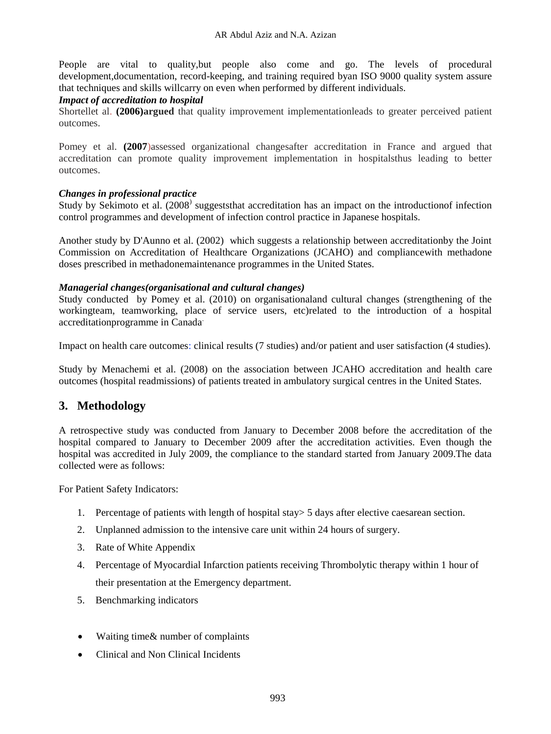People are vital to quality,but people also come and go. The levels of procedural development,documentation, record-keeping, and training required byan ISO 9000 quality system assure that techniques and skills willcarry on even when performed by different individuals.

### *Impact of accreditation to hospital*

Shortellet al. **(2006)argued** that quality improvement implementationleads to greater perceived patient outcomes.

Pomey et al. **(2007**)assessed organizational changesafter accreditation in France and argued that accreditation can promote quality improvement implementation in hospitalsthus leading to better outcomes.

### *Changes in professional practice*

Study by Sekimoto et al. (2008<sup>)</sup> suggeststhat accreditation has an impact on the introductionof infection control programmes and development of infection control practice in Japanese hospitals.

Another study by D'Aunno et al. (2002) which suggests a relationship between accreditationby the Joint Commission on Accreditation of Healthcare Organizations (JCAHO) and compliancewith methadone doses prescribed in methadonemaintenance programmes in the United States.

### *Managerial changes(organisational and cultural changes)*

Study conducted by Pomey et al. (2010) on organisationaland cultural changes (strengthening of the workingteam, teamworking, place of service users, etc)related to the introduction of a hospital accreditationprogramme in Canada.

Impact on health care outcomes: clinical results (7 studies) and/or patient and user satisfaction (4 studies).

Study by Menachemi et al. (2008) on the association between JCAHO accreditation and health care outcomes (hospital readmissions) of patients treated in ambulatory surgical centres in the United States.

# **3. Methodology**

A retrospective study was conducted from January to December 2008 before the accreditation of the hospital compared to January to December 2009 after the accreditation activities. Even though the hospital was accredited in July 2009, the compliance to the standard started from January 2009.The data collected were as follows:

For Patient Safety Indicators:

- 1. Percentage of patients with length of hospital stay> 5 days after elective caesarean section.
- 2. Unplanned admission to the intensive care unit within 24 hours of surgery.
- 3. Rate of White Appendix
- 4. Percentage of Myocardial Infarction patients receiving Thrombolytic therapy within 1 hour of their presentation at the Emergency department.
- 5. Benchmarking indicators
- Waiting time& number of complaints
- Clinical and Non Clinical Incidents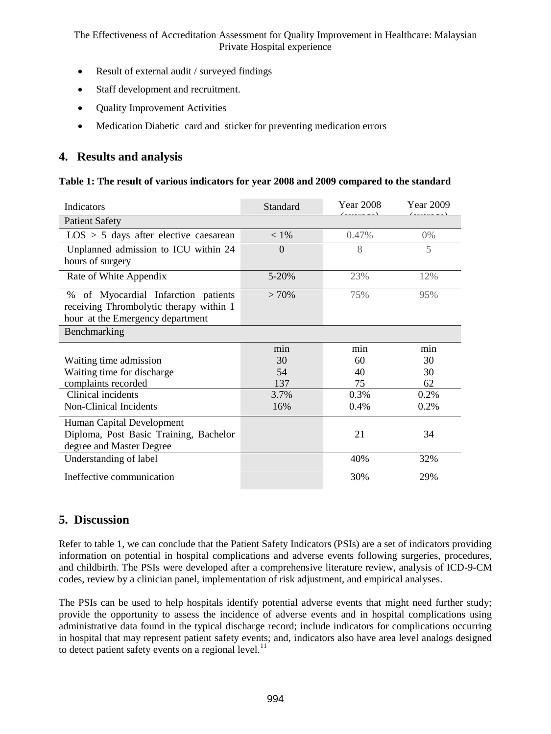- Result of external audit / surveyed findings
- Staff development and recruitment.
- Quality Improvement Activities
- Medication Diabetic card and sticker for preventing medication errors

# **4. Results and analysis**

#### **Table 1: The result of various indicators for year 2008 and 2009 compared to the standard**

| Indicators                                                                                                         | Standard  | <b>Year 2008</b> | <b>Year 2009</b> |
|--------------------------------------------------------------------------------------------------------------------|-----------|------------------|------------------|
| <b>Patient Safety</b>                                                                                              |           |                  |                  |
| $LOS > 5$ days after elective caesarean                                                                            | $< 1\%$   | 0.47%            | $0\%$            |
| Unplanned admission to ICU within 24<br>hours of surgery                                                           | $\Omega$  | 8                | 5                |
| Rate of White Appendix                                                                                             | $5 - 20%$ | 23%              | 12%              |
| % of Myocardial Infarction patients<br>receiving Thrombolytic therapy within 1<br>hour at the Emergency department | $>70\%$   | 75%              | 95%              |
| Benchmarking                                                                                                       |           |                  |                  |
|                                                                                                                    | min       | min              | min              |
| Waiting time admission                                                                                             | 30        | 60               | 30               |
| Waiting time for discharge                                                                                         | 54        | 40               | 30               |
| complaints recorded                                                                                                | 137       | 75               | 62               |
| Clinical incidents                                                                                                 | 3.7%      | 0.3%             | $0.2\%$          |
| Non-Clinical Incidents                                                                                             | 16%       | 0.4%             | 0.2%             |
| Human Capital Development<br>Diploma, Post Basic Training, Bachelor<br>degree and Master Degree                    |           | 21               | 34               |
| Understanding of label                                                                                             |           | 40%              | 32%              |
| Ineffective communication                                                                                          |           | 30%              | 29%              |
|                                                                                                                    |           |                  |                  |

# **5. Discussion**

Refer to table 1, we can conclude that the Patient Safety Indicators (PSIs) are a set of indicators providing information on potential in hospital complications and adverse events following surgeries, procedures, and childbirth. The PSIs were developed after a comprehensive literature review, analysis of ICD-9-CM codes, review by a clinician panel, implementation of risk adjustment, and empirical analyses.

The PSIs can be used to help hospitals identify potential adverse events that might need further study; provide the opportunity to assess the incidence of adverse events and in hospital complications using administrative data found in the typical discharge record; include indicators for complications occurring in hospital that may represent patient safety events; and, indicators also have area level analogs designed to detect patient safety events on a regional level. $<sup>11</sup>$ </sup>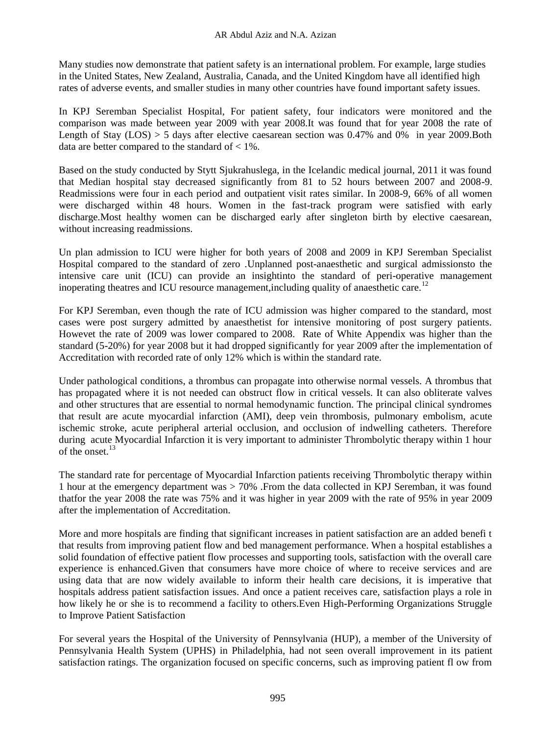Many studies now demonstrate that patient safety is an international problem. For example, large studies in the United States, New Zealand, Australia, Canada, and the United Kingdom have all identified high rates of adverse events, and smaller studies in many other countries have found important safety issues.

In KPJ Seremban Specialist Hospital, For patient safety, four indicators were monitored and the comparison was made between year 2009 with year 2008.It was found that for year 2008 the rate of Length of Stay (LOS) > 5 days after elective caesarean section was 0.47% and 0% in year 2009.Both data are better compared to the standard of  $\lt$  1%.

Based on the study conducted by Stytt Sjukrahuslega, in the Icelandic medical journal, 2011 it was found that Median hospital stay decreased significantly from 81 to 52 hours between 2007 and 2008-9. Readmissions were four in each period and outpatient visit rates similar. In 2008-9, 66% of all women were discharged within 48 hours. Women in the fast-track program were satisfied with early discharge.Most healthy women can be discharged early after singleton birth by elective caesarean, without increasing readmissions.

Un plan admission to ICU were higher for both years of 2008 and 2009 in KPJ Seremban Specialist Hospital compared to the standard of zero .Unplanned post-anaesthetic and surgical admissionsto the intensive care unit (ICU) can provide an insightinto the standard of peri-operative management inoperating theatres and ICU resource management, including quality of anaesthetic care.<sup>12</sup>

For KPJ Seremban, even though the rate of ICU admission was higher compared to the standard, most cases were post surgery admitted by anaesthetist for intensive monitoring of post surgery patients. Howevet the rate of 2009 was lower compared to 2008. Rate of White Appendix was higher than the standard (5-20%) for year 2008 but it had dropped significantly for year 2009 after the implementation of Accreditation with recorded rate of only 12% which is within the standard rate.

Under pathological conditions, a thrombus can propagate into otherwise normal vessels. A thrombus that has propagated where it is not needed can obstruct flow in critical vessels. It can also obliterate valves and other structures that are essential to normal hemodynamic function. The principal clinical syndromes that result are acute myocardial infarction (AMI), deep vein thrombosis, pulmonary embolism, acute ischemic stroke, acute peripheral arterial occlusion, and occlusion of indwelling catheters. Therefore during acute Myocardial Infarction it is very important to administer Thrombolytic therapy within 1 hour of the onset. $13$ 

The standard rate for percentage of Myocardial Infarction patients receiving Thrombolytic therapy within 1 hour at the emergency department was > 70% .From the data collected in KPJ Seremban, it was found thatfor the year 2008 the rate was 75% and it was higher in year 2009 with the rate of 95% in year 2009 after the implementation of Accreditation.

More and more hospitals are finding that significant increases in patient satisfaction are an added benefi t that results from improving patient flow and bed management performance. When a hospital establishes a solid foundation of effective patient flow processes and supporting tools, satisfaction with the overall care experience is enhanced.Given that consumers have more choice of where to receive services and are using data that are now widely available to inform their health care decisions, it is imperative that hospitals address patient satisfaction issues. And once a patient receives care, satisfaction plays a role in how likely he or she is to recommend a facility to others.Even High-Performing Organizations Struggle to Improve Patient Satisfaction

For several years the Hospital of the University of Pennsylvania (HUP), a member of the University of Pennsylvania Health System (UPHS) in Philadelphia, had not seen overall improvement in its patient satisfaction ratings. The organization focused on specific concerns, such as improving patient fl ow from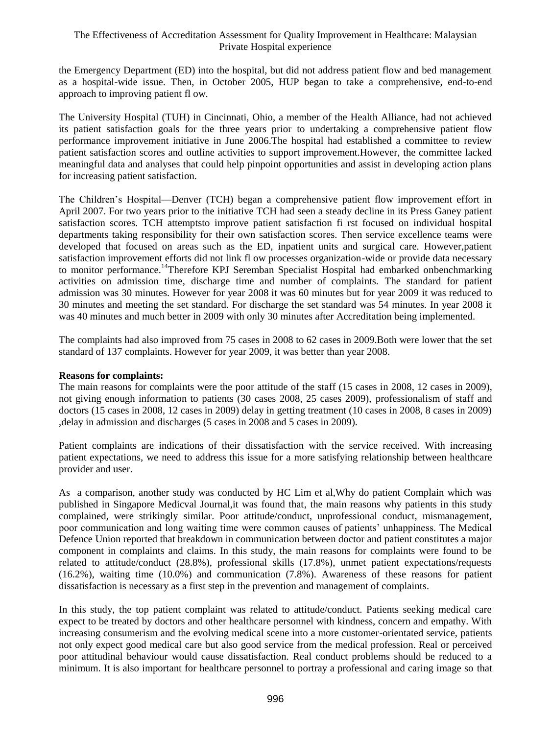the Emergency Department (ED) into the hospital, but did not address patient flow and bed management as a hospital-wide issue. Then, in October 2005, HUP began to take a comprehensive, end-to-end approach to improving patient fl ow.

The University Hospital (TUH) in Cincinnati, Ohio, a member of the Health Alliance, had not achieved its patient satisfaction goals for the three years prior to undertaking a comprehensive patient flow performance improvement initiative in June 2006.The hospital had established a committee to review patient satisfaction scores and outline activities to support improvement.However, the committee lacked meaningful data and analyses that could help pinpoint opportunities and assist in developing action plans for increasing patient satisfaction.

The Children's Hospital—Denver (TCH) began a comprehensive patient flow improvement effort in April 2007. For two years prior to the initiative TCH had seen a steady decline in its Press Ganey patient satisfaction scores. TCH attemptsto improve patient satisfaction fi rst focused on individual hospital departments taking responsibility for their own satisfaction scores. Then service excellence teams were developed that focused on areas such as the ED, inpatient units and surgical care. However,patient satisfaction improvement efforts did not link fl ow processes organization-wide or provide data necessary to monitor performance.<sup>14</sup>Therefore KPJ Seremban Specialist Hospital had embarked onbenchmarking activities on admission time, discharge time and number of complaints. The standard for patient admission was 30 minutes. However for year 2008 it was 60 minutes but for year 2009 it was reduced to 30 minutes and meeting the set standard. For discharge the set standard was 54 minutes. In year 2008 it was 40 minutes and much better in 2009 with only 30 minutes after Accreditation being implemented.

The complaints had also improved from 75 cases in 2008 to 62 cases in 2009.Both were lower that the set standard of 137 complaints. However for year 2009, it was better than year 2008.

### **Reasons for complaints:**

The main reasons for complaints were the poor attitude of the staff (15 cases in 2008, 12 cases in 2009), not giving enough information to patients (30 cases 2008, 25 cases 2009), professionalism of staff and doctors (15 cases in 2008, 12 cases in 2009) delay in getting treatment (10 cases in 2008, 8 cases in 2009) ,delay in admission and discharges (5 cases in 2008 and 5 cases in 2009).

Patient complaints are indications of their dissatisfaction with the service received. With increasing patient expectations, we need to address this issue for a more satisfying relationship between healthcare provider and user.

As a comparison, another study was conducted by HC Lim et al,Why do patient Complain which was published in Singapore Medicval Journal,it was found that, the main reasons why patients in this study complained, were strikingly similar. Poor attitude/conduct, unprofessional conduct, mismanagement, poor communication and long waiting time were common causes of patients' unhappiness. The Medical Defence Union reported that breakdown in communication between doctor and patient constitutes a major component in complaints and claims. In this study, the main reasons for complaints were found to be related to attitude/conduct (28.8%), professional skills (17.8%), unmet patient expectations/requests (16.2%), waiting time (10.0%) and communication (7.8%). Awareness of these reasons for patient dissatisfaction is necessary as a first step in the prevention and management of complaints.

In this study, the top patient complaint was related to attitude/conduct. Patients seeking medical care expect to be treated by doctors and other healthcare personnel with kindness, concern and empathy. With increasing consumerism and the evolving medical scene into a more customer-orientated service, patients not only expect good medical care but also good service from the medical profession. Real or perceived poor attitudinal behaviour would cause dissatisfaction. Real conduct problems should be reduced to a minimum. It is also important for healthcare personnel to portray a professional and caring image so that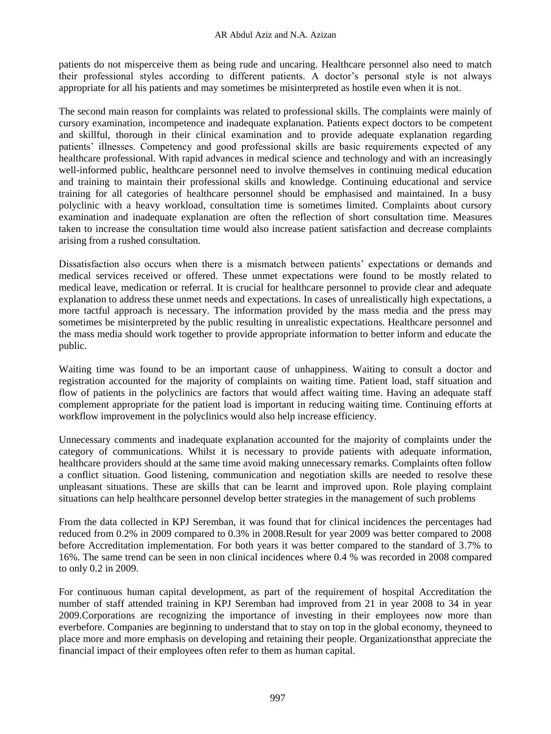patients do not misperceive them as being rude and uncaring. Healthcare personnel also need to match their professional styles according to different patients. A doctor's personal style is not always appropriate for all his patients and may sometimes be misinterpreted as hostile even when it is not.

The second main reason for complaints was related to professional skills. The complaints were mainly of cursory examination, incompetence and inadequate explanation. Patients expect doctors to be competent and skillful, thorough in their clinical examination and to provide adequate explanation regarding patients' illnesses. Competency and good professional skills are basic requirements expected of any healthcare professional. With rapid advances in medical science and technology and with an increasingly well-informed public, healthcare personnel need to involve themselves in continuing medical education and training to maintain their professional skills and knowledge. Continuing educational and service training for all categories of healthcare personnel should be emphasised and maintained. In a busy polyclinic with a heavy workload, consultation time is sometimes limited. Complaints about cursory examination and inadequate explanation are often the reflection of short consultation time. Measures taken to increase the consultation time would also increase patient satisfaction and decrease complaints arising from a rushed consultation.

Dissatisfaction also occurs when there is a mismatch between patients' expectations or demands and medical services received or offered. These unmet expectations were found to be mostly related to medical leave, medication or referral. It is crucial for healthcare personnel to provide clear and adequate explanation to address these unmet needs and expectations. In cases of unrealistically high expectations, a more tactful approach is necessary. The information provided by the mass media and the press may sometimes be misinterpreted by the public resulting in unrealistic expectations. Healthcare personnel and the mass media should work together to provide appropriate information to better inform and educate the public.

Waiting time was found to be an important cause of unhappiness. Waiting to consult a doctor and registration accounted for the majority of complaints on waiting time. Patient load, staff situation and flow of patients in the polyclinics are factors that would affect waiting time. Having an adequate staff complement appropriate for the patient load is important in reducing waiting time. Continuing efforts at workflow improvement in the polyclinics would also help increase efficiency.

Unnecessary comments and inadequate explanation accounted for the majority of complaints under the category of communications. Whilst it is necessary to provide patients with adequate information, healthcare providers should at the same time avoid making unnecessary remarks. Complaints often follow a conflict situation. Good listening, communication and negotiation skills are needed to resolve these unpleasant situations. These are skills that can be learnt and improved upon. Role playing complaint situations can help healthcare personnel develop better strategies in the management of such problems

From the data collected in KPJ Seremban, it was found that for clinical incidences the percentages had reduced from 0.2% in 2009 compared to 0.3% in 2008.Result for year 2009 was better compared to 2008 before Accreditation implementation. For both years it was better compared to the standard of 3.7% to 16%. The same trend can be seen in non clinical incidences where 0.4 % was recorded in 2008 compared to only 0.2 in 2009.

For continuous human capital development, as part of the requirement of hospital Accreditation the number of staff attended training in KPJ Seremban had improved from 21 in year 2008 to 34 in year 2009.Corporations are recognizing the importance of investing in their employees now more than everbefore. Companies are beginning to understand that to stay on top in the global economy, theyneed to place more and more emphasis on developing and retaining their people. Organizationsthat appreciate the financial impact of their employees often refer to them as human capital.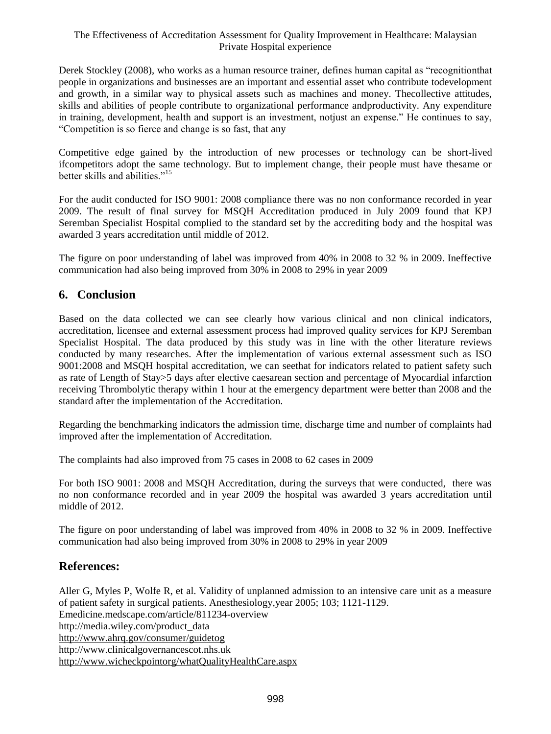Derek Stockley (2008), who works as a human resource trainer, defines human capital as "recognitionthat people in organizations and businesses are an important and essential asset who contribute todevelopment and growth, in a similar way to physical assets such as machines and money. Thecollective attitudes, skills and abilities of people contribute to organizational performance andproductivity. Any expenditure in training, development, health and support is an investment, notjust an expense." He continues to say, "Competition is so fierce and change is so fast, that any

Competitive edge gained by the introduction of new processes or technology can be short-lived ifcompetitors adopt the same technology. But to implement change, their people must have thesame or better skills and abilities."<sup>15</sup>

For the audit conducted for ISO 9001: 2008 compliance there was no non conformance recorded in year 2009. The result of final survey for MSQH Accreditation produced in July 2009 found that KPJ Seremban Specialist Hospital complied to the standard set by the accrediting body and the hospital was awarded 3 years accreditation until middle of 2012.

The figure on poor understanding of label was improved from 40% in 2008 to 32 % in 2009. Ineffective communication had also being improved from 30% in 2008 to 29% in year 2009

# **6. Conclusion**

Based on the data collected we can see clearly how various clinical and non clinical indicators, accreditation, licensee and external assessment process had improved quality services for KPJ Seremban Specialist Hospital. The data produced by this study was in line with the other literature reviews conducted by many researches. After the implementation of various external assessment such as ISO 9001:2008 and MSQH hospital accreditation, we can seethat for indicators related to patient safety such as rate of Length of Stay>5 days after elective caesarean section and percentage of Myocardial infarction receiving Thrombolytic therapy within 1 hour at the emergency department were better than 2008 and the standard after the implementation of the Accreditation.

Regarding the benchmarking indicators the admission time, discharge time and number of complaints had improved after the implementation of Accreditation.

The complaints had also improved from 75 cases in 2008 to 62 cases in 2009

For both ISO 9001: 2008 and MSQH Accreditation, during the surveys that were conducted, there was no non conformance recorded and in year 2009 the hospital was awarded 3 years accreditation until middle of 2012.

The figure on poor understanding of label was improved from 40% in 2008 to 32 % in 2009. Ineffective communication had also being improved from 30% in 2008 to 29% in year 2009

# **References:**

Aller G, Myles P, Wolfe R, et al. Validity of unplanned admission to an intensive care unit as a measure of patient safety in surgical patients. Anesthesiology,year 2005; 103; 1121-1129. Emedicine.medscape.com/article/811234-overview [http://media.wiley.com/product\\_data](http://media.wiley.com/product_data) <http://www.ahrq.gov/consumer/guidetog> [http://www.clinicalgovernancescot.nhs.uk](http://www.clinicalgovernancescot.nhs.uk/) <http://www.wicheckpointorg/whatQualityHealthCare.aspx>